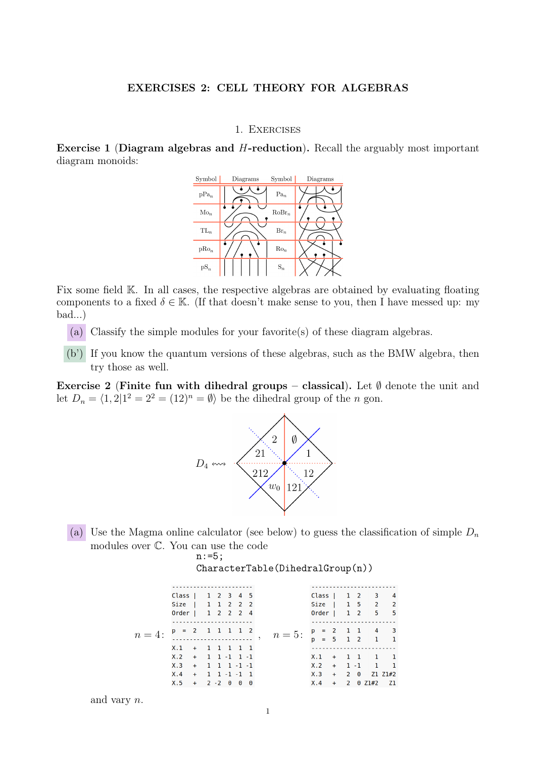## 1. Exercises

Exercise 1 (Diagram algebras and H-reduction). Recall the arguably most important diagram monoids:



Fix some field K. In all cases, the respective algebras are obtained by evaluating floating components to a fixed  $\delta \in \mathbb{K}$ . (If that doesn't make sense to you, then I have messed up: my bad...)

- (a) Classify the simple modules for your favorite(s) of these diagram algebras.
- (b') If you know the quantum versions of these algebras, such as the BMW algebra, then try those as well.

Exercise 2 (Finite fun with dihedral groups – classical). Let  $\emptyset$  denote the unit and let  $D_n = \langle 1, 2 | 1^2 = 2^2 = (12)^n = \emptyset \rangle$  be the dihedral group of the n gon.



(a) Use the Magma online calculator (see below) to guess the classification of simple  $D_n$ modules over C. You can use the code

n:=5;

|                                                                                                                        | Class   $1 \t2 \t3 \t4 \t5$ |  |  |  |  |  |                                             | Class   $1 \t2 \t3 \t4$ |  |  |  |
|------------------------------------------------------------------------------------------------------------------------|-----------------------------|--|--|--|--|--|---------------------------------------------|-------------------------|--|--|--|
|                                                                                                                        | Size   1 1 2 2 2            |  |  |  |  |  |                                             | Size   1 5 2 2          |  |  |  |
|                                                                                                                        | 0rder   1 2 2 2 4           |  |  |  |  |  |                                             | 0rder   1 2 5 5         |  |  |  |
|                                                                                                                        |                             |  |  |  |  |  |                                             |                         |  |  |  |
| $n=4:$ $\begin{array}{c} p = 2 & 1 & 1 & 1 & 1 & 2 \\ \ldots & \ldots & \ldots & \ldots & \ldots & \ldots \end{array}$ |                             |  |  |  |  |  | $n=5$ : $\frac{p}{p} = \frac{2}{5}$ 1 1 4 3 |                         |  |  |  |
|                                                                                                                        |                             |  |  |  |  |  |                                             |                         |  |  |  |
|                                                                                                                        | $X.1 + 1 1 1 1 1$           |  |  |  |  |  |                                             |                         |  |  |  |
|                                                                                                                        | $X.2 + 1 1 -1 1 -1$         |  |  |  |  |  |                                             | $X.1 + 11 1 1$          |  |  |  |
|                                                                                                                        | $X.3 + 1 1 1 -1 -1$         |  |  |  |  |  |                                             | $X.2 + 1 - 1$ 1 1       |  |  |  |
|                                                                                                                        | $X.4 + 1 1 - 1 - 1 1$       |  |  |  |  |  |                                             | $X.3 + 20 Z1 Z1#2$      |  |  |  |
|                                                                                                                        | $X.5 + 2 - 2 0 0 0$         |  |  |  |  |  |                                             | $X.4 + 2 0 21#2 21$     |  |  |  |
|                                                                                                                        |                             |  |  |  |  |  |                                             |                         |  |  |  |

| CharacterTable (DihedralGroup(n)) |  |
|-----------------------------------|--|
|-----------------------------------|--|

and vary n.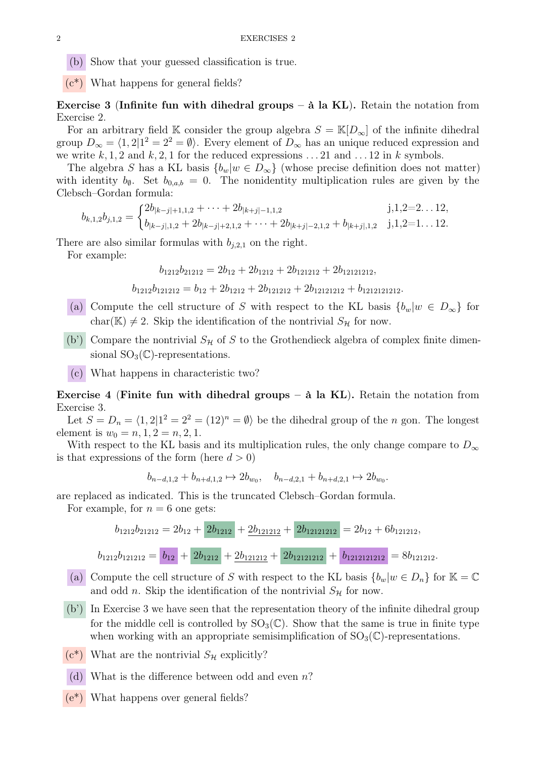(b) Show that your guessed classification is true.

 $(c^*)$  What happens for general fields?

Exercise 3 (Infinite fun with dihedral groups –  $\hat{a}$  la KL). Retain the notation from Exercise 2.

For an arbitrary field K consider the group algebra  $S = K[D_\infty]$  of the infinite dihedral group  $D_{\infty} = \langle 1, 2 | 1^2 = 2^2 = \emptyset \rangle$ . Every element of  $D_{\infty}$  has an unique reduced expression and we write k, 1, 2 and k, 2, 1 for the reduced expressions  $\dots$  21 and  $\dots$  12 in k symbols.

The algebra S has a KL basis  ${b_w|w \in D_{\infty}}$  (whose precise definition does not matter) with identity  $b_{\emptyset}$ . Set  $b_{0,a,b} = 0$ . The nonidentity multiplication rules are given by the Clebsch–Gordan formula:

$$
b_{k,1,2}b_{j,1,2} = \begin{cases} 2b_{|k-j|+1,1,2} + \cdots + 2b_{|k+j|-1,1,2} & j,1,2=2 \ldots 12, \\ b_{|k-j|,1,2} + 2b_{|k-j|+2,1,2} + \cdots + 2b_{|k+j|-2,1,2} + b_{|k+j|,1,2} & j,1,2=1 \ldots 12. \end{cases}
$$

There are also similar formulas with  $b_{i,2,1}$  on the right.

For example:

$$
b_{1212}b_{21212} = 2b_{12} + 2b_{1212} + 2b_{121212} + 2b_{12121212},
$$

$$
b_{1212}b_{121212} = b_{12} + 2b_{1212} + 2b_{121212} + 2b_{12121212} + b_{1212121212}.
$$

- (a) Compute the cell structure of S with respect to the KL basis  ${b_w|w \in D_{\infty}}$  for char(K)  $\neq$  2. Skip the identification of the nontrivial  $S_{\mathcal{H}}$  for now.
- (b') Compare the nontrivial  $S_{\mathcal{H}}$  of S to the Grothendieck algebra of complex finite dimensional  $SO_3(\mathbb{C})$ -representations.
- (c) What happens in characteristic two?

Exercise 4 (Finite fun with dihedral groups –  $\hat{a}$  la KL). Retain the notation from Exercise 3.

Let  $S = D_n = \langle 1, 2 | 1^2 = 2^2 = (12)^n = \emptyset \rangle$  be the dihedral group of the n gon. The longest element is  $w_0 = n, 1, 2 = n, 2, 1$ .

With respect to the KL basis and its multiplication rules, the only change compare to  $D_{\infty}$ is that expressions of the form (here  $d > 0$ )

$$
b_{n-d,1,2} + b_{n+d,1,2} \mapsto 2b_{w_0}, \quad b_{n-d,2,1} + b_{n+d,2,1} \mapsto 2b_{w_0}.
$$

are replaced as indicated. This is the truncated Clebsch–Gordan formula.

For example, for  $n = 6$  one gets:

$$
b_{1212}b_{21212} = 2b_{12} + 2b_{1212} + 2b_{121212} + 2b_{12121212} = 2b_{12} + 6b_{121212},
$$

 $b_{1212}b_{121212} = b_{12} + 2b_{1212} + 2b_{121212} + 2b_{12121212} + b_{1212121212} = 8b_{121212}$ 

- (a) Compute the cell structure of S with respect to the KL basis  ${b_w|w \in D_n}$  for  $\mathbb{K} = \mathbb{C}$ and odd *n*. Skip the identification of the nontrivial  $S_{\mathcal{H}}$  for now.
- (b') In Exercise 3 we have seen that the representation theory of the infinite dihedral group for the middle cell is controlled by  $SO_3(\mathbb{C})$ . Show that the same is true in finite type when working with an appropriate semisimplification of  $SO_3(\mathbb{C})$ -representations.
- $(c^*)$  What are the nontrivial  $S_{\mathcal{H}}$  explicitly?
- (d) What is the difference between odd and even  $n$ ?
- (e\*) What happens over general fields?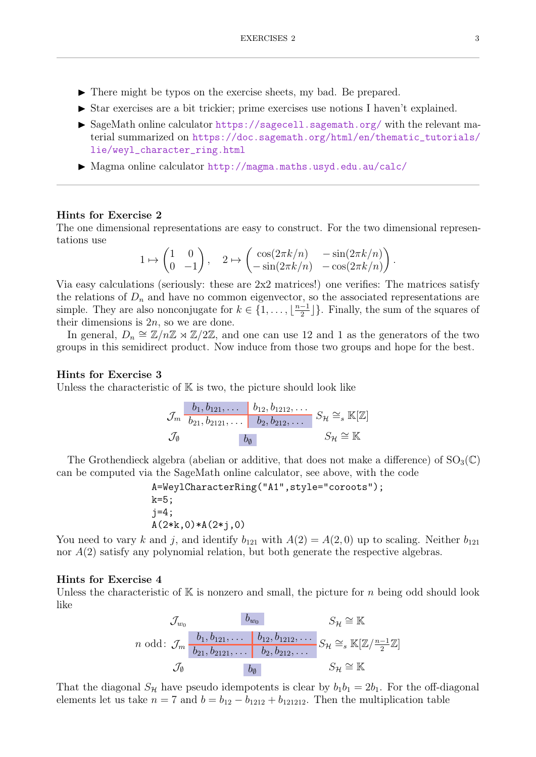- $\blacktriangleright$  There might be typos on the exercise sheets, my bad. Be prepared.
- I Star exercises are a bit trickier; prime exercises use notions I haven't explained.
- $\triangleright$  SageMath online calculator <https://sagecell.sagemath.org/> with the relevant material summarized on [https://doc.sagemath.org/html/en/thematic\\_tutorials/](https://doc.sagemath.org/html/en/thematic_tutorials/lie/weyl_character_ring.html) [lie/weyl\\_character\\_ring.html](https://doc.sagemath.org/html/en/thematic_tutorials/lie/weyl_character_ring.html)
- ▶ Magma online calculator <http://magma.maths.usyd.edu.au/calc/>

## Hints for Exercise 2

The one dimensional representations are easy to construct. For the two dimensional representations use

$$
1 \mapsto \begin{pmatrix} 1 & 0 \\ 0 & -1 \end{pmatrix}, \quad 2 \mapsto \begin{pmatrix} \cos(2\pi k/n) & -\sin(2\pi k/n) \\ -\sin(2\pi k/n) & -\cos(2\pi k/n) \end{pmatrix}.
$$

Via easy calculations (seriously: these are 2x2 matrices!) one verifies: The matrices satisfy the relations of  $D_n$  and have no common eigenvector, so the associated representations are simple. They are also nonconjugate for  $k \in \{1, \ldots, \lfloor \frac{n-1}{2} \rfloor\}$  $\frac{-1}{2}$ ]. Finally, the sum of the squares of their dimensions is  $2n$ , so we are done.

In general,  $D_n \cong \mathbb{Z}/n\mathbb{Z} \rtimes \mathbb{Z}/2\mathbb{Z}$ , and one can use 12 and 1 as the generators of the two groups in this semidirect product. Now induce from those two groups and hope for the best.

## Hints for Exercise 3

Unless the characteristic of  $K$  is two, the picture should look like

$$
\mathcal{J}_m \begin{array}{|l|l|} \hline b_1, b_{121}, \ldots & b_{12}, b_{1212}, \ldots \\ \hline b_{21}, b_{2121}, \ldots & b_{2}, b_{212}, \ldots \end{array} S_{\mathcal{H}} \cong_s \mathbb{K}[\mathbb{Z}]
$$
  

$$
\mathcal{J}_\emptyset \qquad \qquad b_\emptyset \qquad \qquad S_{\mathcal{H}} \cong \mathbb{K}
$$

The Grothendieck algebra (abelian or additive, that does not make a difference) of  $SO_3(\mathbb{C})$ can be computed via the SageMath online calculator, see above, with the code

A=WeylCharacterRing("A1",style="coroots"); k=5; j=4; A(2\*k,0)\*A(2\*j,0)

You need to vary k and j, and identify  $b_{121}$  with  $A(2) = A(2,0)$  up to scaling. Neither  $b_{121}$ nor A(2) satisfy any polynomial relation, but both generate the respective algebras.

## Hints for Exercise 4

Unless the characteristic of  $K$  is nonzero and small, the picture for n being odd should look like

$$
\mathcal{J}_{w_0} \qquad b_{w_0} \qquad S_{\mathcal{H}} \cong \mathbb{K}
$$
\n
$$
n \text{ odd: } \mathcal{J}_m \begin{bmatrix} b_1, b_{121}, \dots & b_{12}, b_{1212}, \dots & S_{\mathcal{H}} \cong_s \mathbb{K}[\mathbb{Z}/\frac{n-1}{2}\mathbb{Z}] \\ b_{21}, b_{2121}, \dots & b_{2}, b_{212}, \dots & S_{\mathcal{H}} \cong_s \mathbb{K}[\mathbb{Z}/\frac{n-1}{2}\mathbb{Z}] \\ \mathcal{J}_{\emptyset} & b_{\emptyset} & S_{\mathcal{H}} \cong \mathbb{K} \end{bmatrix}
$$

That the diagonal  $S_{\mathcal{H}}$  have pseudo idempotents is clear by  $b_1b_1 = 2b_1$ . For the off-diagonal elements let us take  $n = 7$  and  $b = b_{12} - b_{1212} + b_{121212}$ . Then the multiplication table